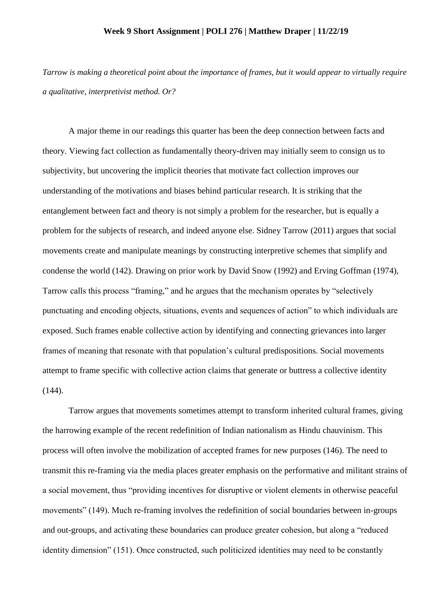## **Week 9 Short Assignment | POLI 276 | Matthew Draper | 11/22/19**

*Tarrow is making a theoretical point about the importance of frames, but it would appear to virtually require a qualitative, interpretivist method. Or?* 

A major theme in our readings this quarter has been the deep connection between facts and theory. Viewing fact collection as fundamentally theory-driven may initially seem to consign us to subjectivity, but uncovering the implicit theories that motivate fact collection improves our understanding of the motivations and biases behind particular research. It is striking that the entanglement between fact and theory is not simply a problem for the researcher, but is equally a problem for the subjects of research, and indeed anyone else. Sidney Tarrow (2011) argues that social movements create and manipulate meanings by constructing interpretive schemes that simplify and condense the world (142). Drawing on prior work by David Snow (1992) and Erving Goffman (1974), Tarrow calls this process "framing," and he argues that the mechanism operates by "selectively punctuating and encoding objects, situations, events and sequences of action" to which individuals are exposed. Such frames enable collective action by identifying and connecting grievances into larger frames of meaning that resonate with that population's cultural predispositions. Social movements attempt to frame specific with collective action claims that generate or buttress a collective identity (144).

Tarrow argues that movements sometimes attempt to transform inherited cultural frames, giving the harrowing example of the recent redefinition of Indian nationalism as Hindu chauvinism. This process will often involve the mobilization of accepted frames for new purposes (146). The need to transmit this re-framing via the media places greater emphasis on the performative and militant strains of a social movement, thus "providing incentives for disruptive or violent elements in otherwise peaceful movements" (149). Much re-framing involves the redefinition of social boundaries between in-groups and out-groups, and activating these boundaries can produce greater cohesion, but along a "reduced identity dimension" (151). Once constructed, such politicized identities may need to be constantly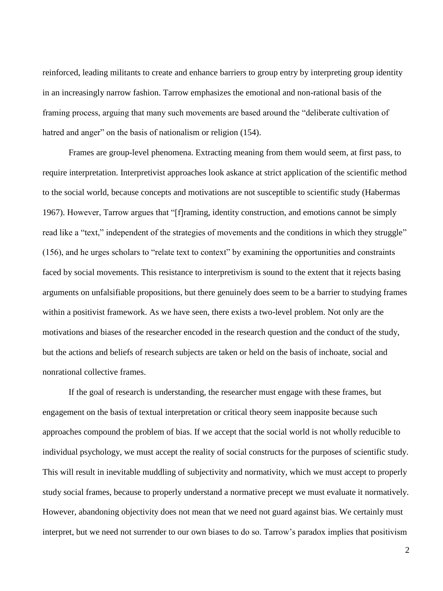reinforced, leading militants to create and enhance barriers to group entry by interpreting group identity in an increasingly narrow fashion. Tarrow emphasizes the emotional and non-rational basis of the framing process, arguing that many such movements are based around the "deliberate cultivation of hatred and anger" on the basis of nationalism or religion (154).

Frames are group-level phenomena. Extracting meaning from them would seem, at first pass, to require interpretation. Interpretivist approaches look askance at strict application of the scientific method to the social world, because concepts and motivations are not susceptible to scientific study (Habermas 1967). However, Tarrow argues that "[f]raming, identity construction, and emotions cannot be simply read like a "text," independent of the strategies of movements and the conditions in which they struggle" (156), and he urges scholars to "relate text to context" by examining the opportunities and constraints faced by social movements. This resistance to interpretivism is sound to the extent that it rejects basing arguments on unfalsifiable propositions, but there genuinely does seem to be a barrier to studying frames within a positivist framework. As we have seen, there exists a two-level problem. Not only are the motivations and biases of the researcher encoded in the research question and the conduct of the study, but the actions and beliefs of research subjects are taken or held on the basis of inchoate, social and nonrational collective frames.

If the goal of research is understanding, the researcher must engage with these frames, but engagement on the basis of textual interpretation or critical theory seem inapposite because such approaches compound the problem of bias. If we accept that the social world is not wholly reducible to individual psychology, we must accept the reality of social constructs for the purposes of scientific study. This will result in inevitable muddling of subjectivity and normativity, which we must accept to properly study social frames, because to properly understand a normative precept we must evaluate it normatively. However, abandoning objectivity does not mean that we need not guard against bias. We certainly must interpret, but we need not surrender to our own biases to do so. Tarrow's paradox implies that positivism

2